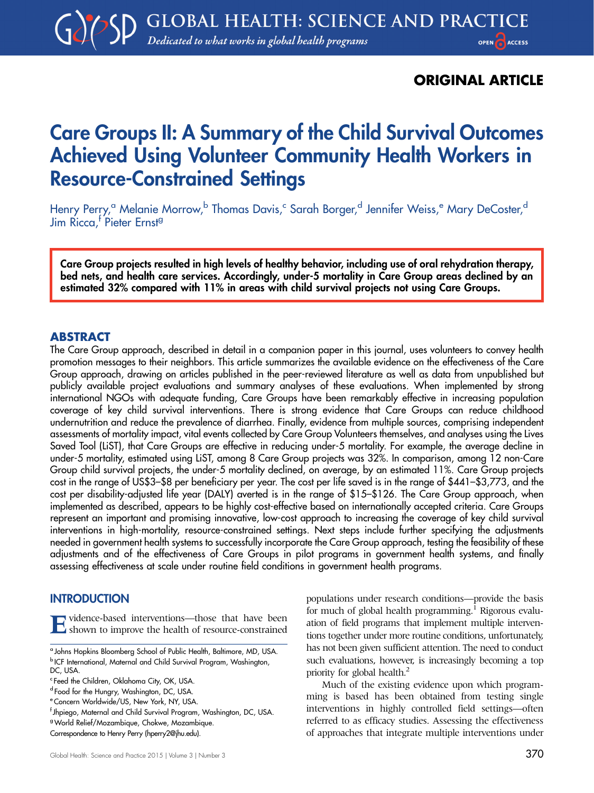# ORIGINAL ARTICLE

# Care Groups II: A Summary of the Child Survival Outcomes Achieved Using Volunteer Community Health Workers in Resource-Constrained Settings

Henry Perry,<sup>a</sup> Melanie Morrow,<sup>b</sup> Thomas Davis,<sup>c</sup> Sarah Borger,<sup>d</sup> Jennifer Weiss,<sup>e</sup> Mary DeCoster,<sup>d</sup> Jim Ricca,<sup>†</sup> Pieter Ernst<sup>g</sup>

Care Group projects resulted in high levels of healthy behavior, including use of oral rehydration therapy, bed nets, and health care services. Accordingly, under-5 mortality in Care Group areas declined by an estimated 32% compared with 11% in areas with child survival projects not using Care Groups.

#### ABSTRACT

The Care Group approach, described in detail in a companion paper in this journal, uses volunteers to convey health promotion messages to their neighbors. This article summarizes the available evidence on the effectiveness of the Care Group approach, drawing on articles published in the peer-reviewed literature as well as data from unpublished but publicly available project evaluations and summary analyses of these evaluations. When implemented by strong international NGOs with adequate funding, Care Groups have been remarkably effective in increasing population coverage of key child survival interventions. There is strong evidence that Care Groups can reduce childhood undernutrition and reduce the prevalence of diarrhea. Finally, evidence from multiple sources, comprising independent assessments of mortality impact, vital events collected by Care Group Volunteers themselves, and analyses using the Lives Saved Tool (LiST), that Care Groups are effective in reducing under-5 mortality. For example, the average decline in under-5 mortality, estimated using LiST, among 8 Care Group projects was 32%. In comparison, among 12 non-Care Group child survival projects, the under-5 mortality declined, on average, by an estimated 11%. Care Group projects cost in the range of US\$3–\$8 per beneficiary per year. The cost per life saved is in the range of \$441–\$3,773, and the cost per disability-adjusted life year (DALY) averted is in the range of \$15–\$126. The Care Group approach, when implemented as described, appears to be highly cost-effective based on internationally accepted criteria. Care Groups represent an important and promising innovative, low-cost approach to increasing the coverage of key child survival interventions in high-mortality, resource-constrained settings. Next steps include further specifying the adjustments needed in government health systems to successfully incorporate the Care Group approach, testing the feasibility of these adjustments and of the effectiveness of Care Groups in pilot programs in government health systems, and finally assessing effectiveness at scale under routine field conditions in government health programs.

## **INTRODUCTION**

Evidence-based interventions—those that have been shown to improve the health of resource-constrained

populations under research conditions—provide the basis for much of global health programming.<sup>1</sup> Rigorous evaluation of field programs that implement multiple interventions together under more routine conditions, unfortunately, has not been given sufficient attention. The need to conduct such evaluations, however, is increasingly becoming a top priority for global health.<sup>2</sup>

Much of the existing evidence upon which programming is based has been obtained from testing single interventions in highly controlled field settings—often referred to as efficacy studies. Assessing the effectiveness of approaches that integrate multiple interventions under

<sup>a</sup> Johns Hopkins Bloomberg School of Public Health, Baltimore, MD, USA. <sup>b</sup> ICF International, Maternal and Child Survival Program, Washington, DC, USA.

<sup>&</sup>lt;sup>c</sup> Feed the Children, Oklahoma City, OK, USA.

d Food for the Hungry, Washington, DC, USA.

e Concern Worldwide/US, New York, NY, USA.

f Jhpiego, Maternal and Child Survival Program, Washington, DC, USA.

gWorld Relief/Mozambique, Chokwe, Mozambique.

Correspondence to Henry Perry [\(hperry2@jhu.edu](mailto:hperry2@jhu.edu)).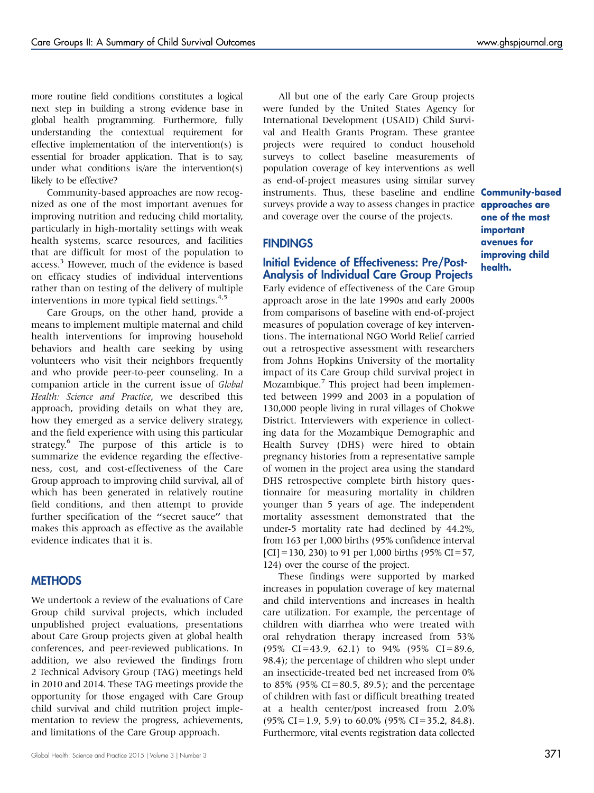more routine field conditions constitutes a logical next step in building a strong evidence base in global health programming. Furthermore, fully understanding the contextual requirement for effective implementation of the intervention(s) is essential for broader application. That is to say, under what conditions is/are the intervention(s) likely to be effective?

Community-based approaches are now recognized as one of the most important avenues for improving nutrition and reducing child mortality, particularly in high-mortality settings with weak health systems, scarce resources, and facilities that are difficult for most of the population to access.<sup>3</sup> However, much of the evidence is based on efficacy studies of individual interventions rather than on testing of the delivery of multiple interventions in more typical field settings.<sup>4,5</sup>

Care Groups, on the other hand, provide a means to implement multiple maternal and child health interventions for improving household behaviors and health care seeking by using volunteers who visit their neighbors frequently and who provide peer-to-peer counseling. In a companion article in the current issue of Global Health: Science and Practice, we described this approach, providing details on what they are, how they emerged as a service delivery strategy, and the field experience with using this particular strategy.<sup>6</sup> The purpose of this article is to summarize the evidence regarding the effectiveness, cost, and cost-effectiveness of the Care Group approach to improving child survival, all of which has been generated in relatively routine field conditions, and then attempt to provide further specification of the ''secret sauce'' that makes this approach as effective as the available evidence indicates that it is.

# **METHODS**

We undertook a review of the evaluations of Care Group child survival projects, which included unpublished project evaluations, presentations about Care Group projects given at global health conferences, and peer-reviewed publications. In addition, we also reviewed the findings from 2 Technical Advisory Group (TAG) meetings held in 2010 and 2014. These TAG meetings provide the opportunity for those engaged with Care Group child survival and child nutrition project implementation to review the progress, achievements, and limitations of the Care Group approach.

All but one of the early Care Group projects were funded by the United States Agency for International Development (USAID) Child Survival and Health Grants Program. These grantee projects were required to conduct household surveys to collect baseline measurements of population coverage of key interventions as well as end-of-project measures using similar survey instruments. Thus, these baseline and endline **Community-based** surveys provide a way to assess changes in practice and coverage over the course of the projects.

#### **FINDINGS**

## Initial Evidence of Effectiveness: Pre/Post-Analysis of Individual Care Group Projects

Early evidence of effectiveness of the Care Group approach arose in the late 1990s and early 2000s from comparisons of baseline with end-of-project measures of population coverage of key interventions. The international NGO World Relief carried out a retrospective assessment with researchers from Johns Hopkins University of the mortality impact of its Care Group child survival project in Mozambique.<sup>7</sup> This project had been implemented between 1999 and 2003 in a population of 130,000 people living in rural villages of Chokwe District. Interviewers with experience in collecting data for the Mozambique Demographic and Health Survey (DHS) were hired to obtain pregnancy histories from a representative sample of women in the project area using the standard DHS retrospective complete birth history questionnaire for measuring mortality in children younger than 5 years of age. The independent mortality assessment demonstrated that the under-5 mortality rate had declined by 44.2%, from 163 per 1,000 births (95% confidence interval  $[CI] = 130, 230$  to 91 per 1,000 births (95% CI = 57, 124) over the course of the project.

These findings were supported by marked increases in population coverage of key maternal and child interventions and increases in health care utilization. For example, the percentage of children with diarrhea who were treated with oral rehydration therapy increased from 53%  $(95\% \text{ CI} = 43.9, 62.1)$  to 94%  $(95\% \text{ CI} = 89.6,$ 98.4); the percentage of children who slept under an insecticide-treated bed net increased from 0% to 85% (95% CI=80.5, 89.5); and the percentage of children with fast or difficult breathing treated at a health center/post increased from 2.0%  $(95\% \text{ CI} = 1.9, 5.9)$  to 60.0%  $(95\% \text{ CI} = 35.2, 84.8).$ Furthermore, vital events registration data collected

approaches are one of the most important avenues for improving child health.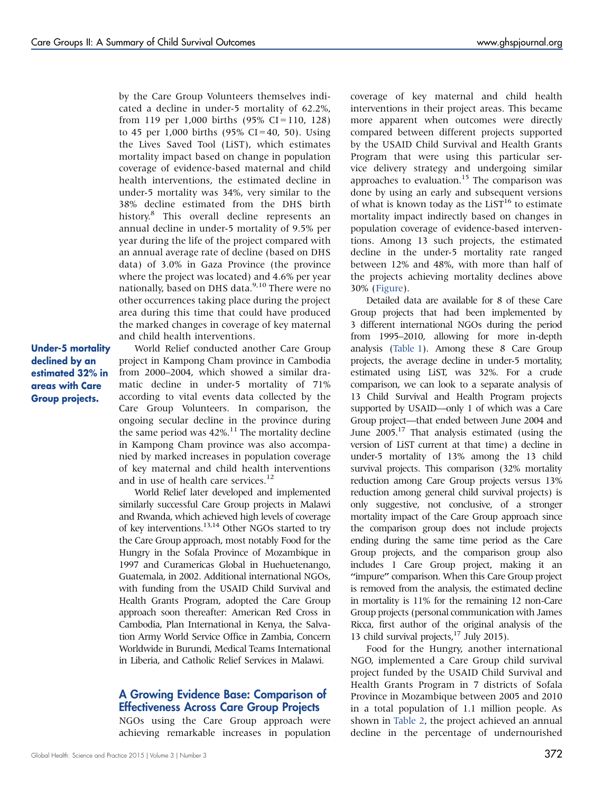by the Care Group Volunteers themselves indicated a decline in under-5 mortality of 62.2%, from 119 per 1,000 births  $(95\% \text{ CI} = 110, 128)$ to 45 per 1,000 births (95% CI = 40, 50). Using the Lives Saved Tool (LiST), which estimates mortality impact based on change in population coverage of evidence-based maternal and child health interventions, the estimated decline in under-5 mortality was 34%, very similar to the 38% decline estimated from the DHS birth history.<sup>8</sup> This overall decline represents an annual decline in under-5 mortality of 9.5% per year during the life of the project compared with an annual average rate of decline (based on DHS data) of 3.0% in Gaza Province (the province where the project was located) and 4.6% per year nationally, based on DHS data.<sup>9,10</sup> There were no other occurrences taking place during the project area during this time that could have produced the marked changes in coverage of key maternal and child health interventions.

Under-5 mortality declined by an estimated 32% in areas with Care Group projects.

World Relief conducted another Care Group project in Kampong Cham province in Cambodia from 2000–2004, which showed a similar dramatic decline in under-5 mortality of 71% according to vital events data collected by the Care Group Volunteers. In comparison, the ongoing secular decline in the province during the same period was  $42\%$ .<sup>11</sup> The mortality decline in Kampong Cham province was also accompanied by marked increases in population coverage of key maternal and child health interventions and in use of health care services.<sup>12</sup>

World Relief later developed and implemented similarly successful Care Group projects in Malawi and Rwanda, which achieved high levels of coverage of key interventions.13,14 Other NGOs started to try the Care Group approach, most notably Food for the Hungry in the Sofala Province of Mozambique in 1997 and Curamericas Global in Huehuetenango, Guatemala, in 2002. Additional international NGOs, with funding from the USAID Child Survival and Health Grants Program, adopted the Care Group approach soon thereafter: American Red Cross in Cambodia, Plan International in Kenya, the Salvation Army World Service Office in Zambia, Concern Worldwide in Burundi, Medical Teams International in Liberia, and Catholic Relief Services in Malawi.

# A Growing Evidence Base: Comparison of Effectiveness Across Care Group Projects

NGOs using the Care Group approach were achieving remarkable increases in population

coverage of key maternal and child health interventions in their project areas. This became more apparent when outcomes were directly compared between different projects supported by the USAID Child Survival and Health Grants Program that were using this particular service delivery strategy and undergoing similar approaches to evaluation.<sup>15</sup> The comparison was done by using an early and subsequent versions of what is known today as the LiST $^{16}$  to estimate mortality impact indirectly based on changes in population coverage of evidence-based interventions. Among 13 such projects, the estimated decline in the under-5 mortality rate ranged between 12% and 48%, with more than half of the projects achieving mortality declines above 30% (Figure).

Detailed data are available for 8 of these Care Group projects that had been implemented by 3 different international NGOs during the period from 1995–2010, allowing for more in-depth analysis [\(Table 1](#page-4-0)). Among these 8 Care Group projects, the average decline in under-5 mortality, estimated using LiST, was 32%. For a crude comparison, we can look to a separate analysis of 13 Child Survival and Health Program projects supported by USAID—only 1 of which was a Care Group project—that ended between June 2004 and June 2005.<sup>17</sup> That analysis estimated (using the version of LiST current at that time) a decline in under-5 mortality of 13% among the 13 child survival projects. This comparison (32% mortality reduction among Care Group projects versus 13% reduction among general child survival projects) is only suggestive, not conclusive, of a stronger mortality impact of the Care Group approach since the comparison group does not include projects ending during the same time period as the Care Group projects, and the comparison group also includes 1 Care Group project, making it an ''impure'' comparison. When this Care Group project is removed from the analysis, the estimated decline in mortality is 11% for the remaining 12 non-Care Group projects (personal communication with James Ricca, first author of the original analysis of the 13 child survival projects,<sup>17</sup> July 2015).

Food for the Hungry, another international NGO, implemented a Care Group child survival project funded by the USAID Child Survival and Health Grants Program in 7 districts of Sofala Province in Mozambique between 2005 and 2010 in a total population of 1.1 million people. As shown in [Table 2](#page-5-0), the project achieved an annual decline in the percentage of undernourished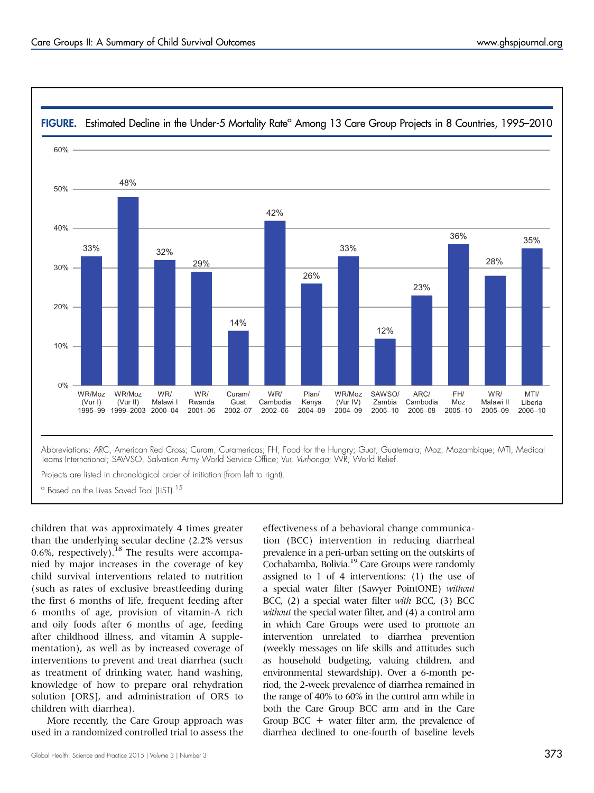

 $^\circ$  Based on the Lives Saved Tool (LiST).  $^{15}$ 

children that was approximately 4 times greater than the underlying secular decline (2.2% versus 0.6%, respectively).<sup>18</sup> The results were accompanied by major increases in the coverage of key child survival interventions related to nutrition (such as rates of exclusive breastfeeding during the first 6 months of life, frequent feeding after 6 months of age, provision of vitamin-A rich and oily foods after 6 months of age, feeding after childhood illness, and vitamin A supplementation), as well as by increased coverage of interventions to prevent and treat diarrhea (such as treatment of drinking water, hand washing, knowledge of how to prepare oral rehydration solution [ORS], and administration of ORS to children with diarrhea).

More recently, the Care Group approach was used in a randomized controlled trial to assess the

tion (BCC) intervention in reducing diarrheal prevalence in a peri-urban setting on the outskirts of Cochabamba, Bolivia.<sup>19</sup> Care Groups were randomly assigned to 1 of 4 interventions: (1) the use of a special water filter (Sawyer PointONE) without BCC, (2) a special water filter with BCC, (3) BCC without the special water filter, and (4) a control arm in which Care Groups were used to promote an intervention unrelated to diarrhea prevention (weekly messages on life skills and attitudes such as household budgeting, valuing children, and environmental stewardship). Over a 6-month period, the 2-week prevalence of diarrhea remained in the range of 40% to 60% in the control arm while in both the Care Group BCC arm and in the Care Group BCC  $+$  water filter arm, the prevalence of diarrhea declined to one-fourth of baseline levels

effectiveness of a behavioral change communica-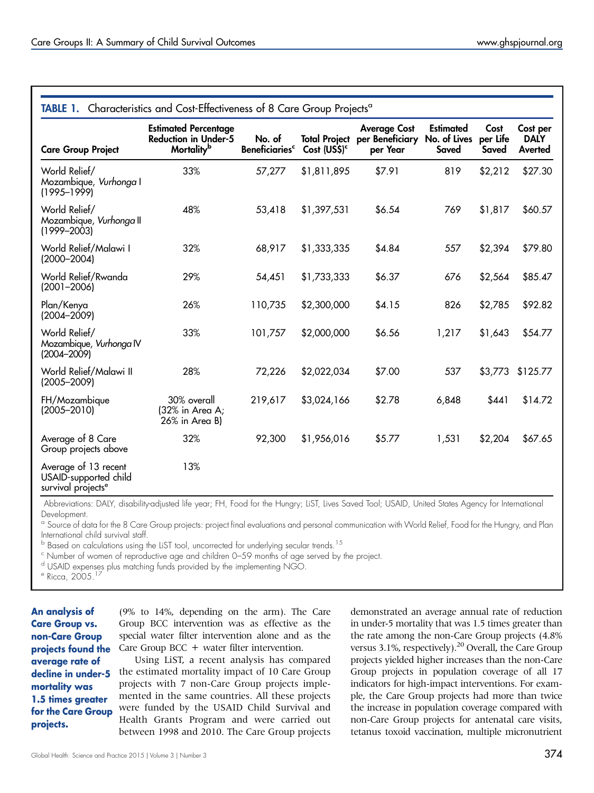<span id="page-4-0"></span>

|                                                                                 | <b>Estimated Percentage</b>                      |                                            |                                         | <b>Average Cost</b>         | <b>Estimated</b>      | Cost              | Cost per               |
|---------------------------------------------------------------------------------|--------------------------------------------------|--------------------------------------------|-----------------------------------------|-----------------------------|-----------------------|-------------------|------------------------|
| <b>Care Group Project</b>                                                       | <b>Reduction in Under-5</b><br>Mortalityb        | No. of<br><b>Beneficiaries<sup>c</sup></b> | <b>Total Project</b><br>Cost $(US\$ )^c | per Beneficiary<br>per Year | No. of Lives<br>Saved | per Life<br>Saved | <b>DALY</b><br>Averted |
| World Relief/<br>Mozambique, Vurhonga I<br>$(1995 - 1999)$                      | 33%                                              | 57,277                                     | \$1,811,895                             | \$7.91                      | 819                   | \$2,212           | \$27.30                |
| World Relief/<br>Mozambique, Vurhonga II<br>$(1999 - 2003)$                     | 48%                                              | 53,418                                     | \$1,397,531                             | \$6.54                      | 769                   | \$1,817           | \$60.57                |
| World Relief/Malawi I<br>$(2000 - 2004)$                                        | 32%                                              | 68,917                                     | \$1,333,335                             | \$4.84                      | 557                   | \$2,394           | \$79.80                |
| World Relief/Rwanda<br>$(2001 - 2006)$                                          | 29%                                              | 54,451                                     | \$1,733,333                             | \$6.37                      | 676                   | \$2,564           | \$85.47                |
| Plan/Kenya<br>$(2004 - 2009)$                                                   | 26%                                              | 110,735                                    | \$2,300,000                             | \$4.15                      | 826                   | \$2,785           | \$92.82                |
| World Relief/<br>Mozambique, Vurhonga IV<br>$(2004 - 2009)$                     | 33%                                              | 101,757                                    | \$2,000,000                             | \$6.56                      | 1,217                 | \$1,643           | \$54.77                |
| World Relief/Malawi II<br>$(2005 - 2009)$                                       | 28%                                              | 72,226                                     | \$2,022,034                             | \$7.00                      | 537                   | \$3,773           | \$125.77               |
| FH/Mozambique<br>$(2005 - 2010)$                                                | 30% overall<br>(32% in Area A;<br>26% in Area B) | 219,617                                    | \$3,024,166                             | \$2.78                      | 6,848                 | \$441             | \$14.72                |
| Average of 8 Care<br>Group projects above                                       | 32%                                              | 92,300                                     | \$1,956,016                             | \$5.77                      | 1,531                 | \$2,204           | \$67.65                |
| Average of 13 recent<br>USAID-supported child<br>survival projects <sup>e</sup> | 13%                                              |                                            |                                         |                             |                       |                   |                        |

Abbreviations: DALY, disability-adjusted life year; FH, Food for the Hungry; LiST, Lives Saved Tool; USAID, United States Agency for International Development.

<sup>a</sup> Source of data for the 8 Care Group projects: project final evaluations and personal communication with World Relief, Food for the Hungry, and Plan International child survival staff.

b Based on calculations using the LiST tool, uncorrected for underlying secular trends.<sup>15</sup>

<sup>c</sup> Number of women of reproductive age and children 0–59 months of age served by the project.

<sup>d</sup> USAID expenses plus matching funds provided by the implementing NGO.

<sup>e</sup> Ricca, 2005.17

An analysis of Care Group vs. non-Care Group projects found the average rate of decline in under-5 mortality was 1.5 times greater for the Care Group projects.

(9% to 14%, depending on the arm). The Care Group BCC intervention was as effective as the special water filter intervention alone and as the Care Group BCC + water filter intervention.

Using LiST, a recent analysis has compared the estimated mortality impact of 10 Care Group projects with 7 non-Care Group projects implemented in the same countries. All these projects were funded by the USAID Child Survival and Health Grants Program and were carried out between 1998 and 2010. The Care Group projects demonstrated an average annual rate of reduction in under-5 mortality that was 1.5 times greater than the rate among the non-Care Group projects (4.8% versus 3.1%, respectively).<sup>20</sup> Overall, the Care Group projects yielded higher increases than the non-Care Group projects in population coverage of all 17 indicators for high-impact interventions. For example, the Care Group projects had more than twice the increase in population coverage compared with non-Care Group projects for antenatal care visits, tetanus toxoid vaccination, multiple micronutrient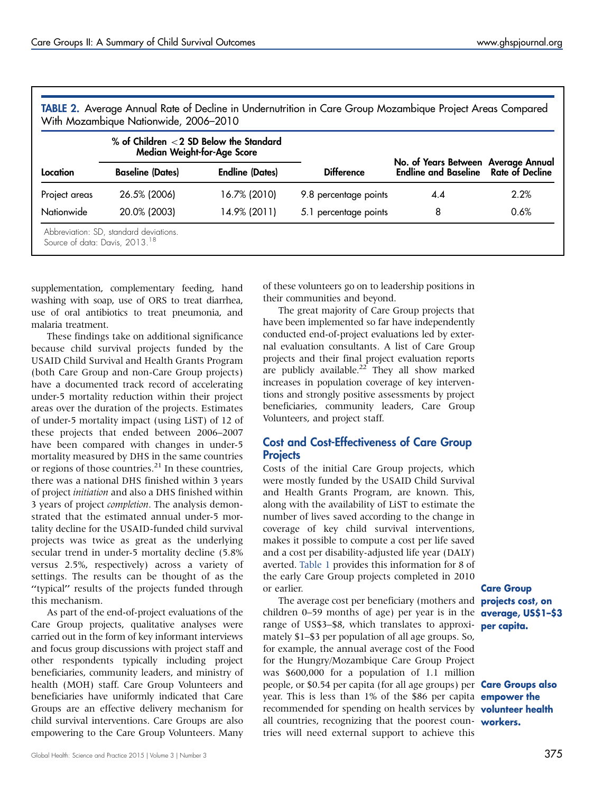|               | $\%$ of Children $<$ 2 SD Below the Standard<br>Median Weight-for-Age Score |              |                       |                                                                    |                        |  |
|---------------|-----------------------------------------------------------------------------|--------------|-----------------------|--------------------------------------------------------------------|------------------------|--|
| Location      | <b>Baseline (Dates)</b><br><b>Endline (Dates)</b>                           |              | <b>Difference</b>     | No. of Years Between Average Annual<br><b>Endline and Baseline</b> | <b>Rate of Decline</b> |  |
| Project areas | 26.5% (2006)                                                                | 16.7% (2010) | 9.8 percentage points | 4.4                                                                | 2.2%                   |  |
| Nationwide    | 20.0% (2003)                                                                | 14.9% (2011) | 5.1 percentage points | 8                                                                  | 0.6%                   |  |

<span id="page-5-0"></span>TABLE 2. Average Annual Rate of Decline in Undernutrition in Care Group Mozambique Project Areas Compared

supplementation, complementary feeding, hand washing with soap, use of ORS to treat diarrhea, use of oral antibiotics to treat pneumonia, and malaria treatment.

These findings take on additional significance because child survival projects funded by the USAID Child Survival and Health Grants Program (both Care Group and non-Care Group projects) have a documented track record of accelerating under-5 mortality reduction within their project areas over the duration of the projects. Estimates of under-5 mortality impact (using LiST) of 12 of these projects that ended between 2006–2007 have been compared with changes in under-5 mortality measured by DHS in the same countries or regions of those countries.<sup>21</sup> In these countries, there was a national DHS finished within 3 years of project initiation and also a DHS finished within 3 years of project *completion*. The analysis demonstrated that the estimated annual under-5 mortality decline for the USAID-funded child survival projects was twice as great as the underlying secular trend in under-5 mortality decline (5.8% versus 2.5%, respectively) across a variety of settings. The results can be thought of as the "typical" results of the projects funded through this mechanism.

As part of the end-of-project evaluations of the Care Group projects, qualitative analyses were carried out in the form of key informant interviews and focus group discussions with project staff and other respondents typically including project beneficiaries, community leaders, and ministry of health (MOH) staff. Care Group Volunteers and beneficiaries have uniformly indicated that Care Groups are an effective delivery mechanism for child survival interventions. Care Groups are also empowering to the Care Group Volunteers. Many of these volunteers go on to leadership positions in their communities and beyond.

The great majority of Care Group projects that have been implemented so far have independently conducted end-of-project evaluations led by external evaluation consultants. A list of Care Group projects and their final project evaluation reports are publicly available.<sup>22</sup> They all show marked increases in population coverage of key interventions and strongly positive assessments by project beneficiaries, community leaders, Care Group Volunteers, and project staff.

#### Cost and Cost-Effectiveness of Care Group **Projects**

Costs of the initial Care Group projects, which were mostly funded by the USAID Child Survival and Health Grants Program, are known. This, along with the availability of LiST to estimate the number of lives saved according to the change in coverage of key child survival interventions, makes it possible to compute a cost per life saved and a cost per disability-adjusted life year (DALY) averted. [Table 1](#page-4-0) provides this information for 8 of the early Care Group projects completed in 2010 or earlier.

The average cost per beneficiary (mothers and **projects cost, on** children 0–59 months of age) per year is in the **average, US\$1-\$3** range of US\$3–\$8, which translates to approxi- **per capita.** mately \$1–\$3 per population of all age groups. So, for example, the annual average cost of the Food for the Hungry/Mozambique Care Group Project was \$600,000 for a population of 1.1 million people, or \$0.54 per capita (for all age groups) per **Care Groups also** year. This is less than 1% of the \$86 per capita empower the recommended for spending on health services by volunteer health all countries, recognizing that the poorest coun- workers. tries will need external support to achieve this

Care Group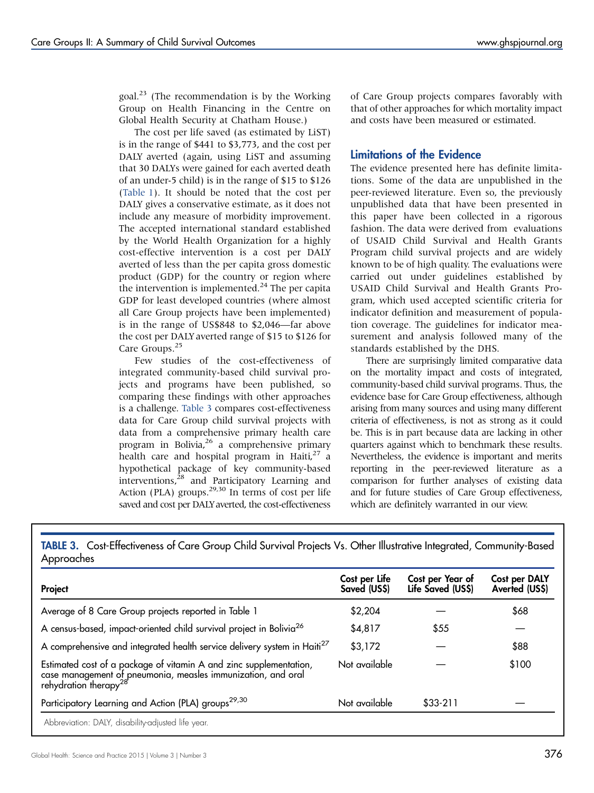goal.<sup>23</sup> (The recommendation is by the Working Group on Health Financing in the Centre on Global Health Security at Chatham House.)

The cost per life saved (as estimated by LiST) is in the range of \$441 to \$3,773, and the cost per DALY averted (again, using LiST and assuming that 30 DALYs were gained for each averted death of an under-5 child) is in the range of \$15 to \$126 [\(Table 1\)](#page-4-0). It should be noted that the cost per DALY gives a conservative estimate, as it does not include any measure of morbidity improvement. The accepted international standard established by the World Health Organization for a highly cost-effective intervention is a cost per DALY averted of less than the per capita gross domestic product (GDP) for the country or region where the intervention is implemented. $^{24}$  The per capita GDP for least developed countries (where almost all Care Group projects have been implemented) is in the range of US\$848 to \$2,046—far above the cost per DALY averted range of \$15 to \$126 for Care Groups.<sup>25</sup>

Few studies of the cost-effectiveness of integrated community-based child survival projects and programs have been published, so comparing these findings with other approaches is a challenge. [Table 3](#page-4-0) compares cost-effectiveness data for Care Group child survival projects with data from a comprehensive primary health care program in Bolivia,<sup>26</sup> a comprehensive primary health care and hospital program in Haiti, $27$  a hypothetical package of key community-based interventions,<sup>28</sup> and Participatory Learning and Action (PLA) groups.<sup>29,30</sup> In terms of cost per life saved and cost per DALY averted, the cost-effectiveness

of Care Group projects compares favorably with that of other approaches for which mortality impact and costs have been measured or estimated.

# Limitations of the Evidence

The evidence presented here has definite limitations. Some of the data are unpublished in the peer-reviewed literature. Even so, the previously unpublished data that have been presented in this paper have been collected in a rigorous fashion. The data were derived from evaluations of USAID Child Survival and Health Grants Program child survival projects and are widely known to be of high quality. The evaluations were carried out under guidelines established by USAID Child Survival and Health Grants Program, which used accepted scientific criteria for indicator definition and measurement of population coverage. The guidelines for indicator measurement and analysis followed many of the standards established by the DHS.

There are surprisingly limited comparative data on the mortality impact and costs of integrated, community-based child survival programs. Thus, the evidence base for Care Group effectiveness, although arising from many sources and using many different criteria of effectiveness, is not as strong as it could be. This is in part because data are lacking in other quarters against which to benchmark these results. Nevertheless, the evidence is important and merits reporting in the peer-reviewed literature as a comparison for further analyses of existing data and for future studies of Care Group effectiveness, which are definitely warranted in our view.

|            | TABLE 3. Cost-Effectiveness of Care Group Child Survival Projects Vs. Other Illustrative Integrated, Community-Based |  |  |  |
|------------|----------------------------------------------------------------------------------------------------------------------|--|--|--|
| Approaches |                                                                                                                      |  |  |  |

| Project                                                                                                                                                                 | Cost per Life<br>Saved (US\$) | Cost per Year of<br>Life Saved (US\$) | <b>Cost per DALY</b><br>Averted (US\$) |
|-------------------------------------------------------------------------------------------------------------------------------------------------------------------------|-------------------------------|---------------------------------------|----------------------------------------|
| Average of 8 Care Group projects reported in Table 1                                                                                                                    | \$2,204                       |                                       | \$68                                   |
| A census-based, impact-oriented child survival project in Bolivia <sup>26</sup>                                                                                         | \$4,817                       | \$55                                  |                                        |
| A comprehensive and integrated health service delivery system in Haiti <sup>27</sup>                                                                                    | \$3,172                       |                                       | \$88                                   |
| Estimated cost of a package of vitamin A and zinc supplementation,<br>case management of pneumonia, measles immunization, and oral<br>rehydration therapy <sup>28</sup> | Not available                 |                                       | \$100                                  |
| Participatory Learning and Action (PLA) groups <sup>29,30</sup>                                                                                                         | Not available                 | $$33-211$                             |                                        |
| Abbreviation: DALY, disability-adjusted life year.                                                                                                                      |                               |                                       |                                        |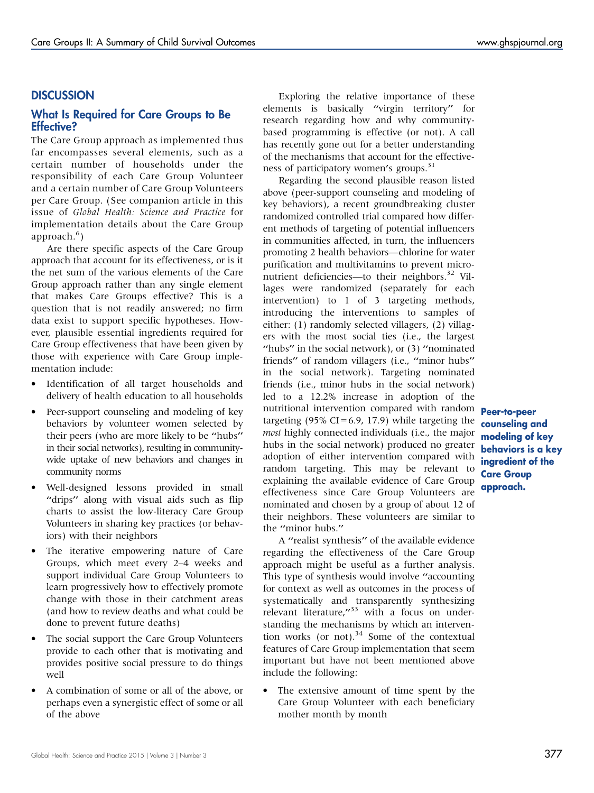# **DISCUSSION**

# What Is Required for Care Groups to Be Effective?

The Care Group approach as implemented thus far encompasses several elements, such as a certain number of households under the responsibility of each Care Group Volunteer and a certain number of Care Group Volunteers per Care Group. (See companion article in this issue of Global Health: Science and Practice for implementation details about the Care Group approach.<sup>6</sup>)

Are there specific aspects of the Care Group approach that account for its effectiveness, or is it the net sum of the various elements of the Care Group approach rather than any single element that makes Care Groups effective? This is a question that is not readily answered; no firm data exist to support specific hypotheses. However, plausible essential ingredients required for Care Group effectiveness that have been given by those with experience with Care Group implementation include:

- Identification of all target households and delivery of health education to all households
- Peer-support counseling and modeling of key behaviors by volunteer women selected by their peers (who are more likely to be ''hubs'' in their social networks), resulting in communitywide uptake of new behaviors and changes in community norms
- Well-designed lessons provided in small "drips" along with visual aids such as flip charts to assist the low-literacy Care Group Volunteers in sharing key practices (or behaviors) with their neighbors
- The iterative empowering nature of Care Groups, which meet every 2–4 weeks and support individual Care Group Volunteers to learn progressively how to effectively promote change with those in their catchment areas (and how to review deaths and what could be done to prevent future deaths)
- The social support the Care Group Volunteers provide to each other that is motivating and provides positive social pressure to do things well
- A combination of some or all of the above, or perhaps even a synergistic effect of some or all of the above

Exploring the relative importance of these elements is basically ''virgin territory'' for research regarding how and why communitybased programming is effective (or not). A call has recently gone out for a better understanding of the mechanisms that account for the effectiveness of participatory women's groups.<sup>31</sup>

Regarding the second plausible reason listed above (peer-support counseling and modeling of key behaviors), a recent groundbreaking cluster randomized controlled trial compared how different methods of targeting of potential influencers in communities affected, in turn, the influencers promoting 2 health behaviors—chlorine for water purification and multivitamins to prevent micronutrient deficiencies—to their neighbors.<sup>32</sup> Villages were randomized (separately for each intervention) to 1 of 3 targeting methods, introducing the interventions to samples of either: (1) randomly selected villagers, (2) villagers with the most social ties (i.e., the largest "hubs" in the social network), or (3) "nominated friends'' of random villagers (i.e., ''minor hubs'' in the social network). Targeting nominated friends (i.e., minor hubs in the social network) led to a 12.2% increase in adoption of the nutritional intervention compared with random **Peer-to-peer** targeting (95% CI = 6.9, 17.9) while targeting the most highly connected individuals (i.e., the major hubs in the social network) produced no greater adoption of either intervention compared with random targeting. This may be relevant to explaining the available evidence of Care Group effectiveness since Care Group Volunteers are nominated and chosen by a group of about 12 of their neighbors. These volunteers are similar to the ''minor hubs.''

A ''realist synthesis'' of the available evidence regarding the effectiveness of the Care Group approach might be useful as a further analysis. This type of synthesis would involve "accounting for context as well as outcomes in the process of systematically and transparently synthesizing relevant literature,"<sup>33</sup> with a focus on understanding the mechanisms by which an intervention works (or not).<sup>34</sup> Some of the contextual features of Care Group implementation that seem important but have not been mentioned above include the following:

 The extensive amount of time spent by the Care Group Volunteer with each beneficiary mother month by month

# counseling and modeling of key behaviors is a key ingredient of the Care Group approach.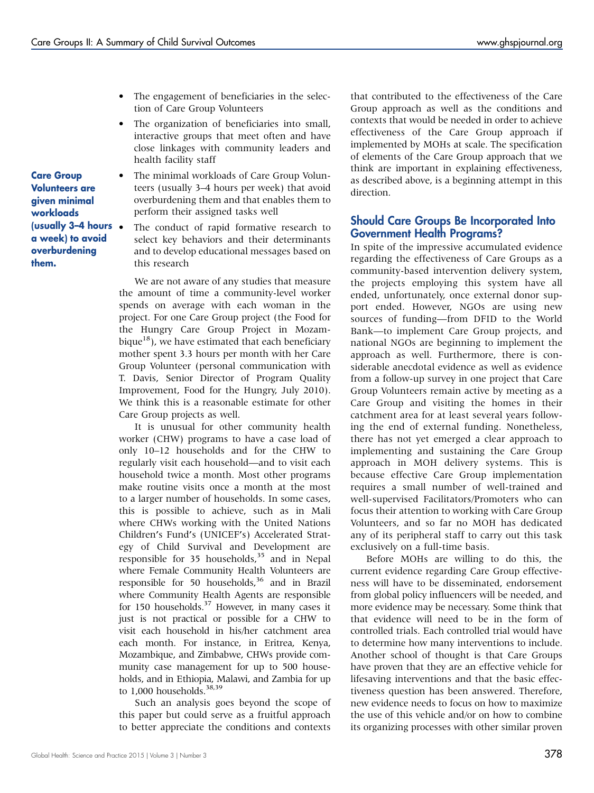- The engagement of beneficiaries in the selection of Care Group Volunteers
- The organization of beneficiaries into small, interactive groups that meet often and have close linkages with community leaders and health facility staff
- The minimal workloads of Care Group Volunteers (usually 3–4 hours per week) that avoid overburdening them and that enables them to perform their assigned tasks well
- The conduct of rapid formative research to select key behaviors and their determinants and to develop educational messages based on this research

We are not aware of any studies that measure the amount of time a community-level worker spends on average with each woman in the project. For one Care Group project (the Food for the Hungry Care Group Project in Mozambique<sup>18</sup>), we have estimated that each beneficiary mother spent 3.3 hours per month with her Care Group Volunteer (personal communication with T. Davis, Senior Director of Program Quality Improvement, Food for the Hungry, July 2010). We think this is a reasonable estimate for other Care Group projects as well.

It is unusual for other community health worker (CHW) programs to have a case load of only 10–12 households and for the CHW to regularly visit each household—and to visit each household twice a month. Most other programs make routine visits once a month at the most to a larger number of households. In some cases, this is possible to achieve, such as in Mali where CHWs working with the United Nations Children's Fund's (UNICEF's) Accelerated Strategy of Child Survival and Development are responsible for 35 households, $35$  and in Nepal where Female Community Health Volunteers are responsible for 50 households,<sup>36</sup> and in Brazil where Community Health Agents are responsible for 150 households.<sup>37</sup> However, in many cases it just is not practical or possible for a CHW to visit each household in his/her catchment area each month. For instance, in Eritrea, Kenya, Mozambique, and Zimbabwe, CHWs provide community case management for up to 500 households, and in Ethiopia, Malawi, and Zambia for up to  $1,000$  households.<sup>38,39</sup>

Such an analysis goes beyond the scope of this paper but could serve as a fruitful approach to better appreciate the conditions and contexts

that contributed to the effectiveness of the Care Group approach as well as the conditions and contexts that would be needed in order to achieve effectiveness of the Care Group approach if implemented by MOHs at scale. The specification of elements of the Care Group approach that we think are important in explaining effectiveness, as described above, is a beginning attempt in this direction.

## Should Care Groups Be Incorporated Into Government Health Programs?

In spite of the impressive accumulated evidence regarding the effectiveness of Care Groups as a community-based intervention delivery system, the projects employing this system have all ended, unfortunately, once external donor support ended. However, NGOs are using new sources of funding—from DFID to the World Bank—to implement Care Group projects, and national NGOs are beginning to implement the approach as well. Furthermore, there is considerable anecdotal evidence as well as evidence from a follow-up survey in one project that Care Group Volunteers remain active by meeting as a Care Group and visiting the homes in their catchment area for at least several years following the end of external funding. Nonetheless, there has not yet emerged a clear approach to implementing and sustaining the Care Group approach in MOH delivery systems. This is because effective Care Group implementation requires a small number of well-trained and well-supervised Facilitators/Promoters who can focus their attention to working with Care Group Volunteers, and so far no MOH has dedicated any of its peripheral staff to carry out this task exclusively on a full-time basis.

Before MOHs are willing to do this, the current evidence regarding Care Group effectiveness will have to be disseminated, endorsement from global policy influencers will be needed, and more evidence may be necessary. Some think that that evidence will need to be in the form of controlled trials. Each controlled trial would have to determine how many interventions to include. Another school of thought is that Care Groups have proven that they are an effective vehicle for lifesaving interventions and that the basic effectiveness question has been answered. Therefore, new evidence needs to focus on how to maximize the use of this vehicle and/or on how to combine its organizing processes with other similar proven

Care Group Volunteers are given minimal workloads (usually 3–4 hours a week) to avoid overburdening them.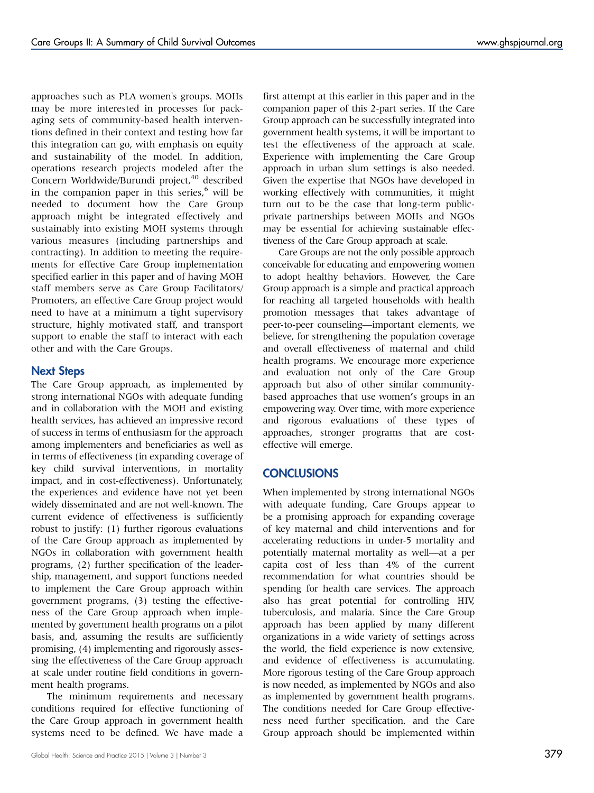approaches such as PLA women's groups. MOHs may be more interested in processes for packaging sets of community-based health interventions defined in their context and testing how far this integration can go, with emphasis on equity and sustainability of the model. In addition, operations research projects modeled after the Concern Worldwide/Burundi project,<sup>40</sup> described in the companion paper in this series, $6$  will be needed to document how the Care Group approach might be integrated effectively and sustainably into existing MOH systems through various measures (including partnerships and contracting). In addition to meeting the requirements for effective Care Group implementation specified earlier in this paper and of having MOH staff members serve as Care Group Facilitators/ Promoters, an effective Care Group project would need to have at a minimum a tight supervisory structure, highly motivated staff, and transport support to enable the staff to interact with each other and with the Care Groups.

# Next Steps

The Care Group approach, as implemented by strong international NGOs with adequate funding and in collaboration with the MOH and existing health services, has achieved an impressive record of success in terms of enthusiasm for the approach among implementers and beneficiaries as well as in terms of effectiveness (in expanding coverage of key child survival interventions, in mortality impact, and in cost-effectiveness). Unfortunately, the experiences and evidence have not yet been widely disseminated and are not well-known. The current evidence of effectiveness is sufficiently robust to justify: (1) further rigorous evaluations of the Care Group approach as implemented by NGOs in collaboration with government health programs, (2) further specification of the leadership, management, and support functions needed to implement the Care Group approach within government programs, (3) testing the effectiveness of the Care Group approach when implemented by government health programs on a pilot basis, and, assuming the results are sufficiently promising, (4) implementing and rigorously assessing the effectiveness of the Care Group approach at scale under routine field conditions in government health programs.

The minimum requirements and necessary conditions required for effective functioning of the Care Group approach in government health systems need to be defined. We have made a

first attempt at this earlier in this paper and in the companion paper of this 2-part series. If the Care Group approach can be successfully integrated into government health systems, it will be important to test the effectiveness of the approach at scale. Experience with implementing the Care Group approach in urban slum settings is also needed. Given the expertise that NGOs have developed in working effectively with communities, it might turn out to be the case that long-term publicprivate partnerships between MOHs and NGOs may be essential for achieving sustainable effectiveness of the Care Group approach at scale.

Care Groups are not the only possible approach conceivable for educating and empowering women to adopt healthy behaviors. However, the Care Group approach is a simple and practical approach for reaching all targeted households with health promotion messages that takes advantage of peer-to-peer counseling—important elements, we believe, for strengthening the population coverage and overall effectiveness of maternal and child health programs. We encourage more experience and evaluation not only of the Care Group approach but also of other similar communitybased approaches that use women's groups in an empowering way. Over time, with more experience and rigorous evaluations of these types of approaches, stronger programs that are costeffective will emerge.

# **CONCLUSIONS**

When implemented by strong international NGOs with adequate funding, Care Groups appear to be a promising approach for expanding coverage of key maternal and child interventions and for accelerating reductions in under-5 mortality and potentially maternal mortality as well—at a per capita cost of less than 4% of the current recommendation for what countries should be spending for health care services. The approach also has great potential for controlling HIV, tuberculosis, and malaria. Since the Care Group approach has been applied by many different organizations in a wide variety of settings across the world, the field experience is now extensive, and evidence of effectiveness is accumulating. More rigorous testing of the Care Group approach is now needed, as implemented by NGOs and also as implemented by government health programs. The conditions needed for Care Group effectiveness need further specification, and the Care Group approach should be implemented within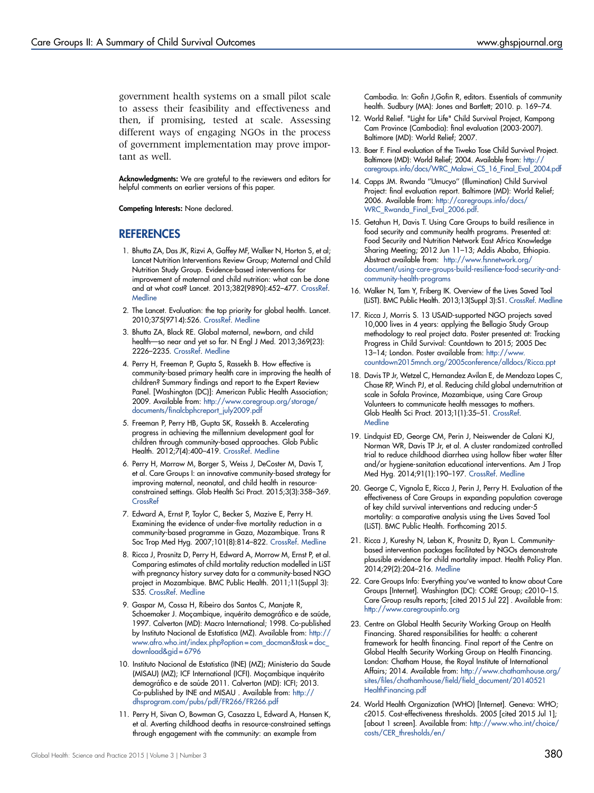government health systems on a small pilot scale to assess their feasibility and effectiveness and then, if promising, tested at scale. Assessing different ways of engaging NGOs in the process of government implementation may prove important as well.

Acknowledgments: We are grateful to the reviewers and editors for helpful comments on earlier versions of this paper.

Competing Interests: None declared.

#### **REFERENCES**

- 1. Bhutta ZA, Das JK, Rizvi A, Gaffey MF, Walker N, Horton S, et al; Lancet Nutrition Interventions Review Group; Maternal and Child Nutrition Study Group. Evidence-based interventions for improvement of maternal and child nutrition: what can be done and at what cost? Lancet. 2013;382(9890):452–477. [CrossRef.](http://dx.doi.org/10.1016/S0140-6736(13)60996-4) **[Medline](http://www.ncbi.nlm.nih.gov/pubmed/23746776)**
- 2. The Lancet. Evaluation: the top priority for global health. Lancet. 2010;375(9714):526. [CrossRef](http://dx.doi.org/10.1016/S0140-6736(10)60056-6). [Medline](http://www.ncbi.nlm.nih.gov/pubmed/20079530)
- 3. Bhutta ZA, Black RE. Global maternal, newborn, and child health—so near and yet so far. N Engl J Med. 2013;369(23): 2226–2235. [CrossRef](http://dx.doi.org/10.1056/NEJMra1111853). [Medline](http://www.ncbi.nlm.nih.gov/pubmed/24304052)
- 4. Perry H, Freeman P, Gupta S, Rassekh B. How effective is community-based primary health care in improving the health of children? Summary findings and report to the Expert Review Panel. [Washington (DC)]: American Public Health Association; 2009. Available from: [http://www.coregroup.org/storage/](http://www.coregroup.org/storage/documents/finalcbphcreport_july2009.pdf) [documents/finalcbphcreport\\_july2009.pdf](http://www.coregroup.org/storage/documents/finalcbphcreport_july2009.pdf)
- 5. Freeman P, Perry HB, Gupta SK, Rassekh B. Accelerating progress in achieving the millennium development goal for children through community-based approaches. Glob Public Health. 2012;7(4):400–419. [CrossRef.](http://dx.doi.org/10.1080/17441690903330305) [Medline](http://www.ncbi.nlm.nih.gov/pubmed/19890758)
- 6. Perry H, Morrow M, Borger S, Weiss J, DeCoster M, Davis T, et al. Care Groups I: an innovative community-based strategy for improving maternal, neonatal, and child health in resourceconstrained settings. Glob Health Sci Pract. 2015;3(3):358–369. **[CrossRef](http://dx.doi.org/10.9745/GHSP-D-15-00051)**
- 7. Edward A, Ernst P, Taylor C, Becker S, Mazive E, Perry H. Examining the evidence of under-five mortality reduction in a community-based programme in Gaza, Mozambique. Trans R Soc Trop Med Hyg. 2007;101(8):814–822. [CrossRef](http://dx.doi.org/10.1016/j.trstmh.2007.02.025). [Medline](http://www.ncbi.nlm.nih.gov/pubmed/17482222)
- 8. Ricca J, Prosnitz D, Perry H, Edward A, Morrow M, Ernst P, et al. Comparing estimates of child mortality reduction modelled in LiST with pregnancy history survey data for a community-based NGO project in Mozambique. BMC Public Health. 2011;11(Suppl 3): S35. [CrossRef.](http://dx.doi.org/10.1186/1471-2458-11-S3-S35) [Medline](http://www.ncbi.nlm.nih.gov/pubmed/21501454)
- 9. Gaspar M, Cossa H, Ribeiro dos Santos C, Manjate R, Schoemaker J. Moçambique, inquérito demográfico e de saúde, 1997. Calverton (MD): Macro International; 1998. Co-published by Instituto Nacional de Estatística (MZ). Available from: [http://](http://www.afro.who.int/index.php?option=com_docman&task=doc_download&gid=6796) [www.afro.who.int/index.php?option = com\\_docman&task = doc\\_](http://www.afro.who.int/index.php?option=com_docman&task=doc_download&gid=6796) [download&gid = 6796](http://www.afro.who.int/index.php?option=com_docman&task=doc_download&gid=6796)
- 10. Instituto Nacional de Estatistica (INE) (MZ); Ministerio da Saude (MISAU) (MZ); ICF International (ICFI). Moçambique inquérito demográfico e de saúde 2011. Calverton (MD): ICFI; 2013. Co-published by INE and MISAU . Available from: [http://](http://dhsprogram.com/pubs/pdf/FR266/FR266.pdf) [dhsprogram.com/pubs/pdf/FR266/FR266.pdf](http://dhsprogram.com/pubs/pdf/FR266/FR266.pdf)
- 11. Perry H, Sivan O, Bowman G, Casazza L, Edward A, Hansen K, et al. Averting childhood deaths in resource-constrained settings through engagement with the community: an example from

Cambodia. In: Gofin J,Gofin R, editors. Essentials of community health. Sudbury (MA): Jones and Bartlett; 2010. p. 169–74.

- 12. World Relief. "Light for Life" Child Survival Project, Kampong Cam Province (Cambodia): final evaluation (2003-2007). Baltimore (MD): World Relief; 2007.
- 13. Baer F. Final evaluation of the Tiweko Tose Child Survival Project. Baltimore (MD): World Relief; 2004. Available from: [http://](http://caregroups.info/docs/WRC_Malawi_CS_16_Final_Eval_2004.pdf) [caregroups.info/docs/WRC\\_Malawi\\_CS\\_16\\_Final\\_Eval\\_2004.pdf](http://caregroups.info/docs/WRC_Malawi_CS_16_Final_Eval_2004.pdf)
- 14. Capps JM. Rwanda ''Umucyo'' (Illumination) Child Survival Project: final evaluation report. Baltimore (MD): World Relief; 2006. Available from: [http://caregroups.info/docs/](http://caregroups.info/docs/WRC_Rwanda_Final_Eval_2006.pdf) [WRC\\_Rwanda\\_Final\\_Eval\\_2006.pdf](http://caregroups.info/docs/WRC_Rwanda_Final_Eval_2006.pdf).
- 15. Getahun H, Davis T. Using Care Groups to build resilience in food security and community health programs. Presented at: Food Security and Nutrition Network East Africa Knowledge Sharing Meeting; 2012 Jun 11–13; Addis Ababa, Ethiopia. Abstract available from: [http://www.fsnnetwork.org/](http://www.fsnnetwork.org/document/using-care-groups-build-resilience-food-security-and-community-health-programs) [document/using-care-groups-build-resilience-food-security-and](http://www.fsnnetwork.org/document/using-care-groups-build-resilience-food-security-and-community-health-programs)[community-health-programs](http://www.fsnnetwork.org/document/using-care-groups-build-resilience-food-security-and-community-health-programs)
- 16. Walker N, Tam Y, Friberg IK. Overview of the Lives Saved Tool (LiST). BMC Public Health. 2013;13(Suppl 3):S1. [CrossRef](http://dx.doi.org/10.1186/1471-2458-13-S3-S1). [Medline](http://www.ncbi.nlm.nih.gov/pubmed/24564438)
- 17. Ricca J, Morris S. 13 USAID-supported NGO projects saved 10,000 lives in 4 years: applying the Bellagio Study Group methodology to real project data. Poster presented at: Tracking Progress in Child Survival: Countdown to 2015; 2005 Dec 13–14; London. Poster available from: [http://www.](http://www.countdown2015mnch.org/2005conference/alldocs/Ricca.ppt) [countdown2015mnch.org/2005conference/alldocs/Ricca.ppt](http://www.countdown2015mnch.org/2005conference/alldocs/Ricca.ppt)
- 18. Davis TP Jr, Wetzel C, Hernandez Avilan E, de Mendoza Lopes C, Chase RP, Winch PJ, et al. Reducing child global undernutrition at scale in Sofala Province, Mozambique, using Care Group Volunteers to communicate health messages to mothers. Glob Health Sci Pract. 2013;1(1):35–51. [CrossRef.](http://dx.doi.org/10.9745/GHSP-D-12-00045) **[Medline](http://www.ncbi.nlm.nih.gov/pubmed/25276516)**
- 19. Lindquist ED, George CM, Perin J, Neiswender de Calani KJ, Norman WR, Davis TP Jr, et al. A cluster randomized controlled trial to reduce childhood diarrhea using hollow fiber water filter and/or hygiene-sanitation educational interventions. Am J Trop Med Hyg. 2014;91(1):190–197. [CrossRef](http://dx.doi.org/10.4269/ajtmh.13-0568). [Medline](http://www.ncbi.nlm.nih.gov/pubmed/24865680)
- 20. George C, Vignola E, Ricca J, Perin J, Perry H. Evaluation of the effectiveness of Care Groups in expanding population coverage of key child survival interventions and reducing under-5 mortality: a comparative analysis using the Lives Saved Tool (LiST). BMC Public Health. Forthcoming 2015.
- 21. Ricca J, Kureshy N, Leban K, Prosnitz D, Ryan L. Communitybased intervention packages facilitated by NGOs demonstrate plausible evidence for child mortality impact. Health Policy Plan. 2014;29(2):204–216. [Medline](http://www.ncbi.nlm.nih.gov/pubmed/23434515)
- 22. Care Groups Info: Everything you've wanted to know about Care Groups [Internet]. Washington (DC): CORE Group; c2010–15. Care Group results reports; [cited 2015 Jul 22] . Available from: <http://www.caregroupinfo.org>
- 23. Centre on Global Health Security Working Group on Health Financing. Shared responsibilities for health: a coherent framework for health financing. Final report of the Centre on Global Health Security Working Group on Health Financing. London: Chatham House, the Royal Institute of International Affairs; 2014. Available from: [http://www.chathamhouse.org/](http://www.chathamhouse.org/sites/files/chathamhouse/field/field_document/20140521HealthFinancing.pdf) [sites/files/chathamhouse/field/field\\_document/20140521](http://www.chathamhouse.org/sites/files/chathamhouse/field/field_document/20140521HealthFinancing.pdf) [HealthFinancing.pdf](http://www.chathamhouse.org/sites/files/chathamhouse/field/field_document/20140521HealthFinancing.pdf)
- 24. World Health Organization (WHO) [Internet]. Geneva: WHO; c2015. Cost-effectiveness thresholds. 2005 [cited 2015 Jul 1]; [about 1 screen]. Available from: [http://www.who.int/choice/](http://www.who.int/choice/costs/CER_thresholds/en/) [costs/CER\\_thresholds/en/](http://www.who.int/choice/costs/CER_thresholds/en/)